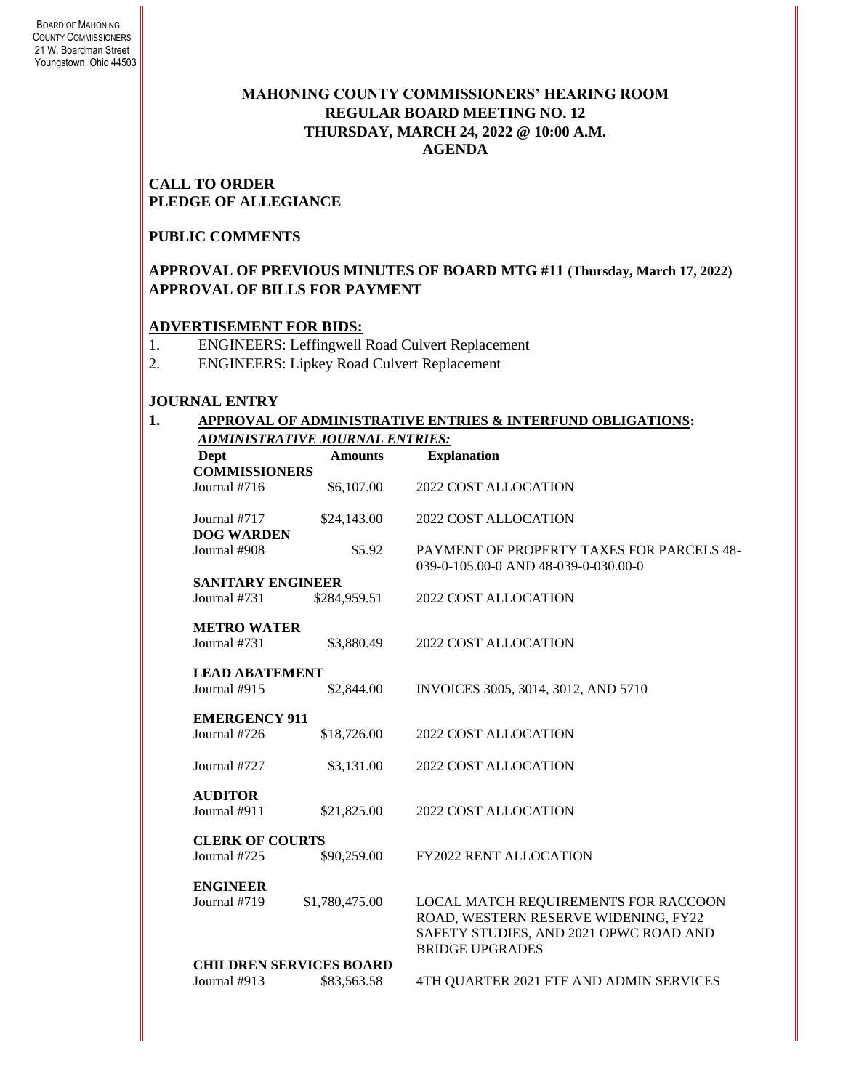## **MAHONING COUNTY COMMISSIONERS' HEARING ROOM REGULAR BOARD MEETING NO. 12 THURSDAY***,* **MARCH 24, 2022 @ 10:00 A.M. AGENDA**

**CALL TO ORDER PLEDGE OF ALLEGIANCE**

### **PUBLIC COMMENTS**

## **APPROVAL OF PREVIOUS MINUTES OF BOARD MTG #11 (Thursday, March 17, 2022) APPROVAL OF BILLS FOR PAYMENT**

### **ADVERTISEMENT FOR BIDS:**

- 1. ENGINEERS: Leffingwell Road Culvert Replacement
- 2. ENGINEERS: Lipkey Road Culvert Replacement

## **JOURNAL ENTRY**

#### **1. APPROVAL OF ADMINISTRATIVE ENTRIES & INTERFUND OBLIGATIONS:**  *ADMINISTRATIVE JOURNAL ENTRIES:*

| Dept<br><b>COMMISSIONERS</b>      | <b>Amounts</b> | <b>Explanation</b>                                                                                                                               |  |  |
|-----------------------------------|----------------|--------------------------------------------------------------------------------------------------------------------------------------------------|--|--|
| Journal $#716$                    | \$6,107.00     | 2022 COST ALLOCATION                                                                                                                             |  |  |
| Journal #717<br><b>DOG WARDEN</b> | \$24,143.00    | 2022 COST ALLOCATION                                                                                                                             |  |  |
| Journal #908                      | \$5.92         | PAYMENT OF PROPERTY TAXES FOR PARCELS 48-<br>039-0-105.00-0 AND 48-039-0-030.00-0                                                                |  |  |
| <b>SANITARY ENGINEER</b>          |                |                                                                                                                                                  |  |  |
| Journal #731                      | \$284,959.51   | 2022 COST ALLOCATION                                                                                                                             |  |  |
| <b>METRO WATER</b>                |                |                                                                                                                                                  |  |  |
| Journal #731                      | \$3,880.49     | 2022 COST ALLOCATION                                                                                                                             |  |  |
| <b>LEAD ABATEMENT</b>             |                |                                                                                                                                                  |  |  |
| Journal #915                      | \$2,844.00     | INVOICES 3005, 3014, 3012, AND 5710                                                                                                              |  |  |
| <b>EMERGENCY 911</b>              |                |                                                                                                                                                  |  |  |
| Journal #726                      | \$18,726.00    | 2022 COST ALLOCATION                                                                                                                             |  |  |
| Journal #727                      | \$3,131.00     | 2022 COST ALLOCATION                                                                                                                             |  |  |
| <b>AUDITOR</b>                    |                |                                                                                                                                                  |  |  |
| Journal #911                      | \$21,825.00    | 2022 COST ALLOCATION                                                                                                                             |  |  |
| <b>CLERK OF COURTS</b>            |                |                                                                                                                                                  |  |  |
| Journal #725                      | \$90,259.00    | <b>FY2022 RENT ALLOCATION</b>                                                                                                                    |  |  |
| <b>ENGINEER</b>                   |                |                                                                                                                                                  |  |  |
| Journal #719                      | \$1,780,475.00 | LOCAL MATCH REQUIREMENTS FOR RACCOON<br>ROAD, WESTERN RESERVE WIDENING, FY22<br>SAFETY STUDIES, AND 2021 OPWC ROAD AND<br><b>BRIDGE UPGRADES</b> |  |  |
| <b>CHILDREN SERVICES BOARD</b>    |                |                                                                                                                                                  |  |  |
| Journal #913                      | \$83,563.58    | 4TH QUARTER 2021 FTE AND ADMIN SERVICES                                                                                                          |  |  |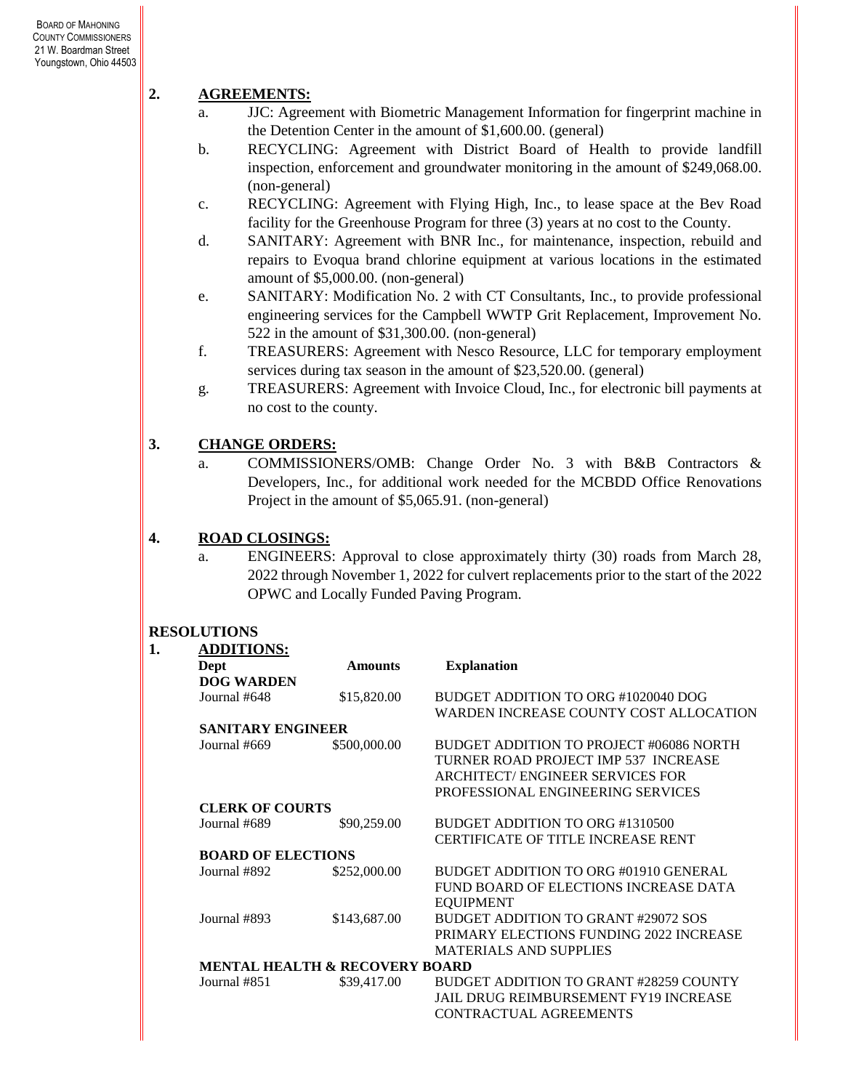# **2. AGREEMENTS:**

- a. JJC: Agreement with Biometric Management Information for fingerprint machine in the Detention Center in the amount of \$1,600.00. (general)
- b. RECYCLING: Agreement with District Board of Health to provide landfill inspection, enforcement and groundwater monitoring in the amount of \$249,068.00. (non-general)
- c. RECYCLING: Agreement with Flying High, Inc., to lease space at the Bev Road facility for the Greenhouse Program for three (3) years at no cost to the County.
- d. SANITARY: Agreement with BNR Inc., for maintenance, inspection, rebuild and repairs to Evoqua brand chlorine equipment at various locations in the estimated amount of \$5,000.00. (non-general)
- e. SANITARY: Modification No. 2 with CT Consultants, Inc., to provide professional engineering services for the Campbell WWTP Grit Replacement, Improvement No. 522 in the amount of \$31,300.00. (non-general)
- f. TREASURERS: Agreement with Nesco Resource, LLC for temporary employment services during tax season in the amount of \$23,520.00. (general)
- g. TREASURERS: Agreement with Invoice Cloud, Inc., for electronic bill payments at no cost to the county.

# **3. CHANGE ORDERS:**

a. COMMISSIONERS/OMB: Change Order No. 3 with B&B Contractors & Developers, Inc., for additional work needed for the MCBDD Office Renovations Project in the amount of \$5,065.91. (non-general)

# **4. ROAD CLOSINGS:**

a. ENGINEERS: Approval to close approximately thirty (30) roads from March 28, 2022 through November 1, 2022 for culvert replacements prior to the start of the 2022 OPWC and Locally Funded Paving Program.

# **RESOLUTIONS**

| 1. | <b>ADDITIONS:</b>                         |                |                                         |
|----|-------------------------------------------|----------------|-----------------------------------------|
|    | Dept                                      | <b>Amounts</b> | <b>Explanation</b>                      |
|    | <b>DOG WARDEN</b>                         |                |                                         |
|    | Journal #648                              | \$15,820.00    | BUDGET ADDITION TO ORG #1020040 DOG     |
|    |                                           |                | WARDEN INCREASE COUNTY COST ALLOCATION  |
|    | <b>SANITARY ENGINEER</b>                  |                |                                         |
|    | Journal #669                              | \$500,000.00   | BUDGET ADDITION TO PROJECT #06086 NORTH |
|    |                                           |                | TURNER ROAD PROJECT IMP 537 INCREASE    |
|    |                                           |                | ARCHITECT/ENGINEER SERVICES FOR         |
|    |                                           |                | PROFESSIONAL ENGINEERING SERVICES       |
|    | <b>CLERK OF COURTS</b>                    |                |                                         |
|    | Journal #689                              | \$90,259.00    | BUDGET ADDITION TO ORG #1310500         |
|    |                                           |                | CERTIFICATE OF TITLE INCREASE RENT      |
|    | <b>BOARD OF ELECTIONS</b>                 |                |                                         |
|    | Journal #892                              | \$252,000.00   | BUDGET ADDITION TO ORG #01910 GENERAL   |
|    |                                           |                | FUND BOARD OF ELECTIONS INCREASE DATA   |
|    |                                           |                | <b>EQUIPMENT</b>                        |
|    | Journal #893                              | \$143,687.00   | BUDGET ADDITION TO GRANT #29072 SOS     |
|    |                                           |                | PRIMARY ELECTIONS FUNDING 2022 INCREASE |
|    |                                           |                | <b>MATERIALS AND SUPPLIES</b>           |
|    | <b>MENTAL HEALTH &amp; RECOVERY BOARD</b> |                |                                         |
|    | Journal #851                              | \$39,417.00    | BUDGET ADDITION TO GRANT #28259 COUNTY  |
|    |                                           |                | JAIL DRUG REIMBURSEMENT FY19 INCREASE   |
|    |                                           |                | CONTRACTUAL AGREEMENTS                  |
|    |                                           |                |                                         |